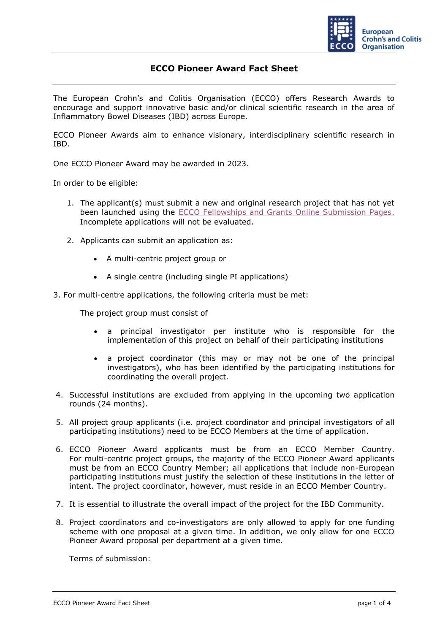

## **ECCO Pioneer Award Fact Sheet**

The European Crohn's and Colitis Organisation (ECCO) offers Research Awards to encourage and support innovative basic and/or clinical scientific research in the area of Inflammatory Bowel Diseases (IBD) across Europe.

ECCO Pioneer Awards aim to enhance visionary, interdisciplinary scientific research in IBD.

One ECCO Pioneer Award may be awarded in 2023.

In order to be eligible:

- 1. The applicant(s) must submit a new and original research project that has not yet been launched using the [ECCO Fellowships and Grants Online Submission Pages.](https://cm.ecco-ibd.eu/cmPortal/Proposal/ASSOC22/config/normal/redirectconfig/PioneerAward) Incomplete applications will not be evaluated.
- 2. Applicants can submit an application as:
	- A multi-centric project group or
	- A single centre (including single PI applications)
- 3. For multi-centre applications, the following criteria must be met:

The project group must consist of

- a principal investigator per institute who is responsible for the implementation of this project on behalf of their participating institutions
- a project coordinator (this may or may not be one of the principal investigators), who has been identified by the participating institutions for coordinating the overall project.
- 4. Successful institutions are excluded from applying in the upcoming two application rounds (24 months).
- 5. All project group applicants (i.e. project coordinator and principal investigators of all participating institutions) need to be ECCO Members at the time of application.
- 6. ECCO Pioneer Award applicants must be from an ECCO Member Country. For multi-centric project groups, the majority of the ECCO Pioneer Award applicants must be from an ECCO Country Member; all applications that include non-European participating institutions must justify the selection of these institutions in the letter of intent. The project coordinator, however, must reside in an ECCO Member Country.
- 7. It is essential to illustrate the overall impact of the project for the IBD Community.
- 8. Project coordinators and co-investigators are only allowed to apply for one funding scheme with one proposal at a given time. In addition, we only allow for one ECCO Pioneer Award proposal per department at a given time.

Terms of submission: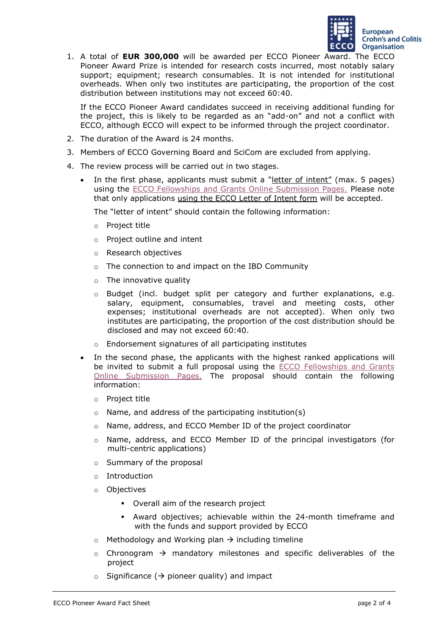

1. A total of **EUR 300,000** will be awarded per ECCO Pioneer Award. The ECCO Pioneer Award Prize is intended for research costs incurred, most notably salary support; equipment; research consumables. It is not intended for institutional overheads. When only two institutes are participating, the proportion of the cost distribution between institutions may not exceed 60:40.

If the ECCO Pioneer Award candidates succeed in receiving additional funding for the project, this is likely to be regarded as an "add-on" and not a conflict with ECCO, although ECCO will expect to be informed through the project coordinator.

- 2. The duration of the Award is 24 months.
- 3. Members of ECCO Governing Board and SciCom are excluded from applying.
- 4. The review process will be carried out in two stages.
	- In the first phase, applicants must submit a "letter of intent" (max. 5 pages) using the [ECCO Fellowships and Grants Online Submission Pages.](https://cm.ecco-ibd.eu/cmPortal/Proposal/ASSOC22/config/normal/redirectconfig/PioneerAward) Please note that only applications using the ECCO Letter of Intent form will be accepted.

The "letter of intent" should contain the following information:

- o Project title
- o Project outline and intent
- o Research objectives
- o The connection to and impact on the IBD Community
- $\circ$  The innovative quality
- o Budget (incl. budget split per category and further explanations, e.g. salary, equipment, consumables, travel and meeting costs, other expenses; institutional overheads are not accepted). When only two institutes are participating, the proportion of the cost distribution should be disclosed and may not exceed 60:40.
- o Endorsement signatures of all participating institutes
- In the second phase, the applicants with the highest ranked applications will be invited to submit a full proposal using the [ECCO Fellowships and Grants](https://cm.ecco-ibd.eu/cmPortal/Proposal/ASSOC22/config/normal/redirectconfig/PioneerAward)  [Online Submission Pages.](https://cm.ecco-ibd.eu/cmPortal/Proposal/ASSOC22/config/normal/redirectconfig/PioneerAward) The proposal should contain the following information:
	- o Project title
	- $\circ$  Name, and address of the participating institution(s)
	- o Name, address, and ECCO Member ID of the project coordinator
	- o Name, address, and ECCO Member ID of the principal investigators (for multi-centric applications)
	- o Summary of the proposal
	- o Introduction
	- o Objectives
		- Overall aim of the research project
		- Award objectives; achievable within the 24-month timeframe and with the funds and support provided by ECCO
	- $\circ$  Methodology and Working plan  $\rightarrow$  including timeline
	- $\circ$  Chronogram  $\rightarrow$  mandatory milestones and specific deliverables of the project
	- $\circ$  Significance ( $\rightarrow$  pioneer quality) and impact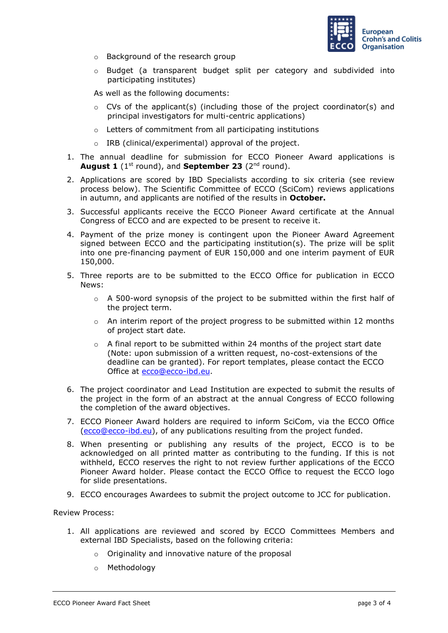

- o Background of the research group
- o Budget (a transparent budget split per category and subdivided into participating institutes)

As well as the following documents:

- $\circ$  CVs of the applicant(s) (including those of the project coordinator(s) and principal investigators for multi-centric applications)
- o Letters of commitment from all participating institutions
- o IRB (clinical/experimental) approval of the project.
- 1. The annual deadline for submission for ECCO Pioneer Award applications is **August 1** (1st round), and **September 23** (2nd round).
- 2. Applications are scored by IBD Specialists according to six criteria (see review process below). The Scientific Committee of ECCO (SciCom) reviews applications in autumn, and applicants are notified of the results in **October.**
- 3. Successful applicants receive the ECCO Pioneer Award certificate at the Annual Congress of ECCO and are expected to be present to receive it.
- 4. Payment of the prize money is contingent upon the Pioneer Award Agreement signed between ECCO and the participating institution(s). The prize will be split into one pre-financing payment of EUR 150,000 and one interim payment of EUR 150,000.
- 5. Three reports are to be submitted to the ECCO Office for publication in ECCO News:
	- $\circ$  A 500-word synopsis of the project to be submitted within the first half of the project term.
	- $\circ$  An interim report of the project progress to be submitted within 12 months of project start date.
	- $\circ$  A final report to be submitted within 24 months of the project start date (Note: upon submission of a written request, no-cost-extensions of the deadline can be granted). For report templates, please contact the ECCO Office at ecco@ecco-ibd.eu.
- 6. The project coordinator and Lead Institution are expected to submit the results of the project in the form of an abstract at the annual Congress of ECCO following the completion of the award objectives.
- 7. ECCO Pioneer Award holders are required to inform SciCom, via the ECCO Office (ecco@ecco-ibd.eu), of any publications resulting from the project funded.
- 8. When presenting or publishing any results of the project, ECCO is to be acknowledged on all printed matter as contributing to the funding. If this is not withheld, ECCO reserves the right to not review further applications of the ECCO Pioneer Award holder. Please contact the ECCO Office to request the ECCO logo for slide presentations.
- 9. ECCO encourages Awardees to submit the project outcome to JCC for publication.

## Review Process:

- 1. All applications are reviewed and scored by ECCO Committees Members and external IBD Specialists, based on the following criteria:
	- o Originality and innovative nature of the proposal
	- o Methodology